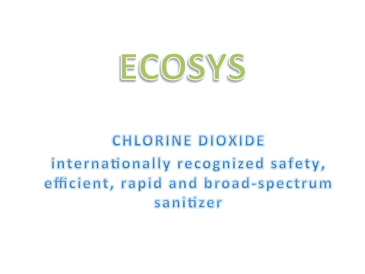# ECOSYS

## **CHLORINE DIOXIDE** internationally recognized safety, efficient, rapid and broad-spectrum

sanitizer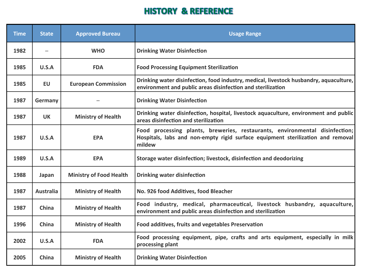#### **HISTORY & REFERENCE**

| <b>Time</b> | <b>State</b>     | <b>Approved Bureau</b>         | <b>Usage Range</b>                                                                                                                                                       |  |  |
|-------------|------------------|--------------------------------|--------------------------------------------------------------------------------------------------------------------------------------------------------------------------|--|--|
| 1982        |                  | <b>WHO</b>                     | <b>Drinking Water Disinfection</b>                                                                                                                                       |  |  |
| 1985        | U.S.A            | <b>FDA</b>                     | <b>Food Processing Equipment Sterilization</b>                                                                                                                           |  |  |
| 1985        | EU               | <b>European Commission</b>     | Drinking water disinfection, food industry, medical, livestock husbandry, aquaculture,<br>environment and public areas disinfection and sterilization                    |  |  |
| 1987        | Germany          |                                | <b>Drinking Water Disinfection</b>                                                                                                                                       |  |  |
| 1987        | <b>UK</b>        | <b>Ministry of Health</b>      | Drinking water disinfection, hospital, livestock aquaculture, environment and public<br>areas disinfection and sterilization                                             |  |  |
| 1987        | U.S.A            | <b>EPA</b>                     | Food processing plants, breweries, restaurants, environmental disinfection;<br>Hospitals, labs and non-empty rigid surface equipment sterilization and removal<br>mildew |  |  |
| 1989        | U.S.A            | <b>EPA</b>                     | Storage water disinfection; livestock, disinfection and deodorizing                                                                                                      |  |  |
| 1988        | Japan            | <b>Ministry of Food Health</b> | <b>Drinking water disinfection</b>                                                                                                                                       |  |  |
| 1987        | <b>Australia</b> | <b>Ministry of Health</b>      | No. 926 food Additives, food Bleacher                                                                                                                                    |  |  |
| 1987        | China            | <b>Ministry of Health</b>      | Food industry, medical, pharmaceutical, livestock husbandry, aquaculture,<br>environment and public areas disinfection and sterilization                                 |  |  |
| 1996        | China            | <b>Ministry of Health</b>      | Food additives, fruits and vegetables Preservation                                                                                                                       |  |  |
| 2002        | U.S.A            | <b>FDA</b>                     | Food processing equipment, pipe, crafts and arts equipment, especially in milk<br>processing plant                                                                       |  |  |
| 2005        | China            | <b>Ministry of Health</b>      | <b>Drinking Water Disinfection</b>                                                                                                                                       |  |  |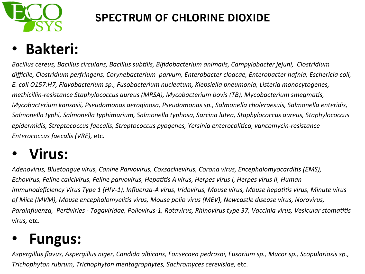

#### **SPECTRUM OF CHLORINE DIOXIDE**

### • **Bakteri:**

Bacillus cereus, Bacillus circulans, Bacillus subtilis, Bifidobacterium animalis, Campylobacter jejuni, Clostridium difficile, Clostridium perfringens, Corynebacterium parvum, Enterobacter cloacae, Enterobacter hafnia, Eschericia coli, *E. coli O157:H7, Flavobacterium sp., Fusobacterium nucleatum, Klebsiella pneumonia, Listeria monocytogenes, methicillin-resistance Staphylococcus aureus (MRSA), Mycobacterium bovis (TB), Mycobacterium smegmatis, Mycobacterium kansasii, Pseudomonas aeroginosa, Pseudomonas sp., Salmonella choleraesuis, Salmonella enteridis,* Salmonella typhi, Salmonella typhimurium, Salmonella typhosa, Sarcina lutea, Staphylococcus aureus, Staphylococcus epidermidis, Streptococcus faecalis, Streptococcus pyogenes, Yersinia enterocolitica, vancomycin-resistance *Enterococcus faecalis (VRE)*, etc.

#### • **Virus:**

Adenovirus, Bluetongue virus, Canine Parvovirus, Coxsackievirus, Corona virus, Encephalomyocarditis (EMS), *Echovirus, Feline calicivirus, Feline parvovirus, Hepatitis A virus, Herpes virus I, Herpes virus II, Human Immunodeficiency Virus Type 1 (HIV-1), Influenza-A virus, Iridovirus, Mouse virus, Mouse hepatitis virus, Minute virus* of Mice (MVM), Mouse encephalomyelitis virus, Mouse polio virus (MEV), Newcastle disease virus, Norovirus, *Parainfluenza, Pertiviries - Togaviridae, Poliovirus-1, Rotavirus, Rhinovirus type 37, Vaccinia virus, Vesicular stomatitis virus,* etc.

#### • **Fungus:**

Aspergillus flavus, Aspergillus niger, Candida albicans, Fonsecaea pedrosoi, Fusarium sp., Mucor sp., Scopulariosis sp., *Trichophyton rubrum, Trichophyton mentagrophytes, Sachromyces cerevisiae, etc.*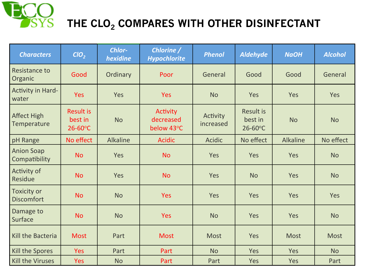

#### THE CLO<sub>2</sub> COMPARES WITH OTHER DISINFECTANT

| <b>Characters</b>                  | ClO <sub>2</sub>                            | Chlor-<br>hexidine | Chlorine /<br><b>Hypochlorite</b>   | <b>Phenol</b>         | <b>Aldehyde</b>                             | <b>NaOH</b>     | <b>Alcohol</b> |
|------------------------------------|---------------------------------------------|--------------------|-------------------------------------|-----------------------|---------------------------------------------|-----------------|----------------|
| <b>Resistance to</b><br>Organic    | Good                                        | Ordinary           | Poor                                | General               | Good                                        | Good            | General        |
| Activity in Hard-<br>water         | <b>Yes</b>                                  | Yes                | <b>Yes</b>                          | <b>No</b>             | Yes                                         | Yes             | Yes            |
| <b>Affect High</b><br>Temperature  | <b>Result is</b><br>best in<br>$26 - 60$ °C | <b>No</b>          | Activity<br>decreased<br>below 43°C | Activity<br>increased | <b>Result is</b><br>best in<br>$26 - 60$ °C | <b>No</b>       | <b>No</b>      |
| pH Range                           | No effect                                   | <b>Alkaline</b>    | <b>Acidic</b>                       | <b>Acidic</b>         | No effect                                   | <b>Alkaline</b> | No effect      |
| <b>Anion Soap</b><br>Compatibility | <b>No</b>                                   | Yes                | <b>No</b>                           | Yes                   | Yes                                         | Yes             | <b>No</b>      |
| Activity of<br>Residue             | <b>No</b>                                   | Yes                | <b>No</b>                           | Yes                   | <b>No</b>                                   | Yes             | <b>No</b>      |
| Toxicity or<br><b>Discomfort</b>   | <b>No</b>                                   | <b>No</b>          | <b>Yes</b>                          | Yes                   | Yes                                         | Yes             | Yes            |
| Damage to<br>Surface               | <b>No</b>                                   | <b>No</b>          | <b>Yes</b>                          | <b>No</b>             | Yes                                         | Yes             | <b>No</b>      |
| Kill the Bacteria                  | <b>Most</b>                                 | Part               | <b>Most</b>                         | <b>Most</b>           | Yes                                         | <b>Most</b>     | <b>Most</b>    |
| Kill the Spores                    | Yes                                         | Part               | Part                                | <b>No</b>             | Yes                                         | Yes             | <b>No</b>      |
| Kill the Viruses                   | <b>Yes</b>                                  | <b>No</b>          | Part                                | Part                  | Yes                                         | Yes             | Part           |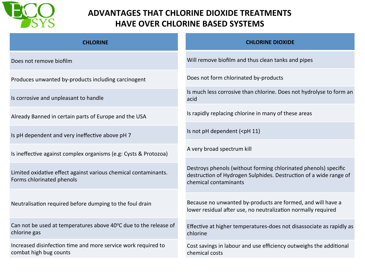

#### **ADVANTAGES THAT CHLORINE DIOXIDE TREATMENTS HAVE OVER CHLORINE BASED SYSTEMS**

| <b>CHLORINE</b>                                                                              | <b>CHLORINE DIOXIDE</b>                                                                                                                                       |
|----------------------------------------------------------------------------------------------|---------------------------------------------------------------------------------------------------------------------------------------------------------------|
| Does not remove biofilm                                                                      | Will remove biofilm and thus clean tanks and pipes                                                                                                            |
| Produces unwanted by-products including carcinogent                                          | Does not form chlorinated by-products                                                                                                                         |
| Is corrosive and unpleasant to handle                                                        | Is much less corrosive than chlorine. Does not hydrolyse to form an<br>acid                                                                                   |
| Already Banned in certain parts of Europe and the USA                                        | Is rapidly replacing chlorine in many of these areas                                                                                                          |
| Is pH dependent and very ineffective above pH 7                                              | Is not pH dependent ( <ph 11)<="" td=""></ph>                                                                                                                 |
| Is ineffective against complex organisms (e.g: Cysts & Protozoa)                             | A very broad spectrum kill                                                                                                                                    |
| Limited oxidative effect against various chemical contaminants.<br>Forms chlorinated phenols | Destroys phenols (without forming chlorinated phenols) specific<br>destruction of Hydrogen Sulphides. Destruction of a wide range of<br>chemical contaminants |
| Neutralisation required before dumping to the foul drain                                     | Because no unwanted by-products are formed, and will have a<br>lower residual after use, no neutralization normally required                                  |
| Can not be used at temperatures above 40°C due to the release of<br>chlorine gas             | Effective at higher temperatures-does not disassociate as rapidly as<br>chlorine                                                                              |
| Increased disinfection time and more service work required to<br>combat high bug counts      | Cost savings in labour and use efficiency outweighs the additional<br>chemical costs                                                                          |